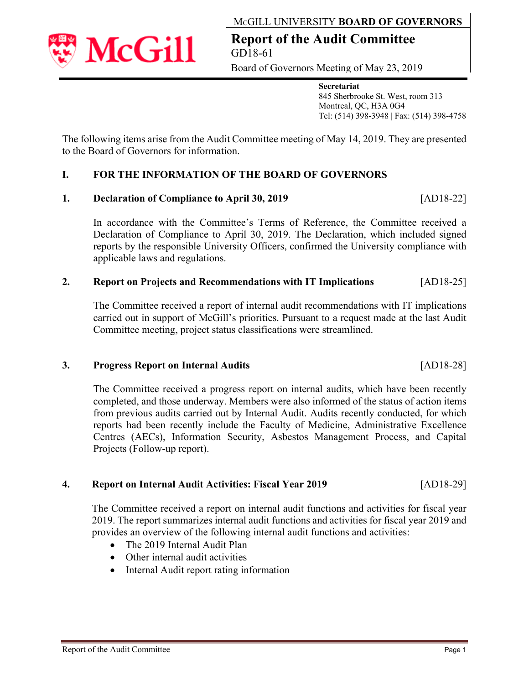

applicable laws and regulations.

# **2. Report on Projects and Recommendations with IT Implications** [AD18-25]

The Committee received a report of internal audit recommendations with IT implications carried out in support of McGill's priorities. Pursuant to a request made at the last Audit Committee meeting, project status classifications were streamlined.

#### **3. Progress Report on Internal Audits** [AD18-28]

**McGill** 

The Committee received a progress report on internal audits, which have been recently completed, and those underway. Members were also informed of the status of action items from previous audits carried out by Internal Audit. Audits recently conducted, for which reports had been recently include the Faculty of Medicine, Administrative Excellence Centres (AECs), Information Security, Asbestos Management Process, and Capital Projects (Follow-up report).

#### **4. Report on Internal Audit Activities: Fiscal Year 2019** [AD18-29]

The Committee received a report on internal audit functions and activities for fiscal year 2019. The report summarizes internal audit functions and activities for fiscal year 2019 and provides an overview of the following internal audit functions and activities:

- The 2019 Internal Audit Plan
- Other internal audit activities
- Internal Audit report rating information

# The following items arise from the Audit Committee meeting of May 14, 2019. They are presented to the Board of Governors for information.

# **I. FOR THE INFORMATION OF THE BOARD OF GOVERNORS**

#### **1. Declaration of Compliance to April 30, 2019** [AD18-22]

Declaration of Compliance to April 30, 2019. The Declaration, which included signed reports by the responsible University Officers, confirmed the University compliance with

In accordance with the Committee's Terms of Reference, the Committee received a

# MCGILL UNIVERSITY **BOARD OF GOVERNORS**

**Report of the Audit Committee**  GD18-61

Board of Governors Meeting of May 23, 2019

 **Secretariat**  845 Sherbrooke St. West, room 313 Montreal, QC, H3A 0G4 Tel: (514) 398-3948 | Fax: (514) 398-4758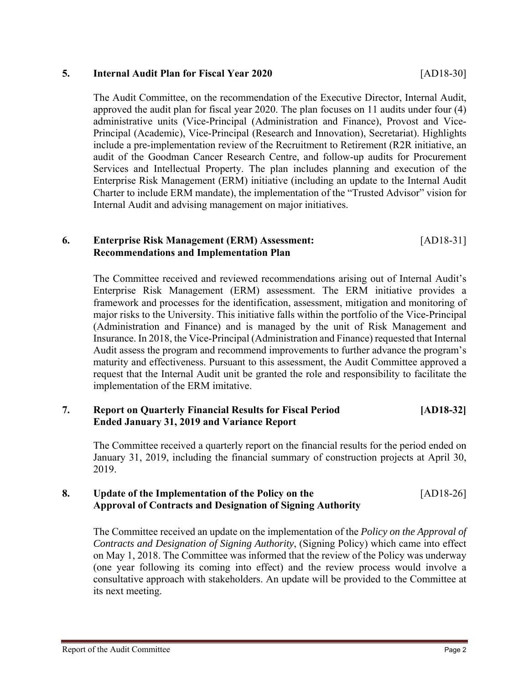# **5. Internal Audit Plan for Fiscal Year 2020** [AD18-30]

The Audit Committee, on the recommendation of the Executive Director, Internal Audit, approved the audit plan for fiscal year 2020. The plan focuses on 11 audits under four (4) administrative units (Vice-Principal (Administration and Finance), Provost and Vice-Principal (Academic), Vice-Principal (Research and Innovation), Secretariat). Highlights include a pre-implementation review of the Recruitment to Retirement (R2R initiative, an audit of the Goodman Cancer Research Centre, and follow-up audits for Procurement Services and Intellectual Property. The plan includes planning and execution of the Enterprise Risk Management (ERM) initiative (including an update to the Internal Audit Charter to include ERM mandate), the implementation of the "Trusted Advisor" vision for Internal Audit and advising management on major initiatives.

# **6. Enterprise Risk Management (ERM) Assessment:** [AD18-31] **Recommendations and Implementation Plan**

The Committee received and reviewed recommendations arising out of Internal Audit's Enterprise Risk Management (ERM) assessment. The ERM initiative provides a framework and processes for the identification, assessment, mitigation and monitoring of major risks to the University. This initiative falls within the portfolio of the Vice-Principal (Administration and Finance) and is managed by the unit of Risk Management and Insurance. In 2018, the Vice-Principal (Administration and Finance) requested that Internal Audit assess the program and recommend improvements to further advance the program's maturity and effectiveness. Pursuant to this assessment, the Audit Committee approved a request that the Internal Audit unit be granted the role and responsibility to facilitate the implementation of the ERM imitative.

#### **7. Report on Quarterly Financial Results for Fiscal Period [AD18-32] Ended January 31, 2019 and Variance Report**

The Committee received a quarterly report on the financial results for the period ended on January 31, 2019, including the financial summary of construction projects at April 30, 2019.

# **8. Update of the Implementation of the Policy on the** [AD18-26] **Approval of Contracts and Designation of Signing Authority**

The Committee received an update on the implementation of the *Policy on the Approval of Contracts and Designation of Signing Authority*, (Signing Policy) which came into effect on May 1, 2018. The Committee was informed that the review of the Policy was underway (one year following its coming into effect) and the review process would involve a consultative approach with stakeholders. An update will be provided to the Committee at its next meeting.